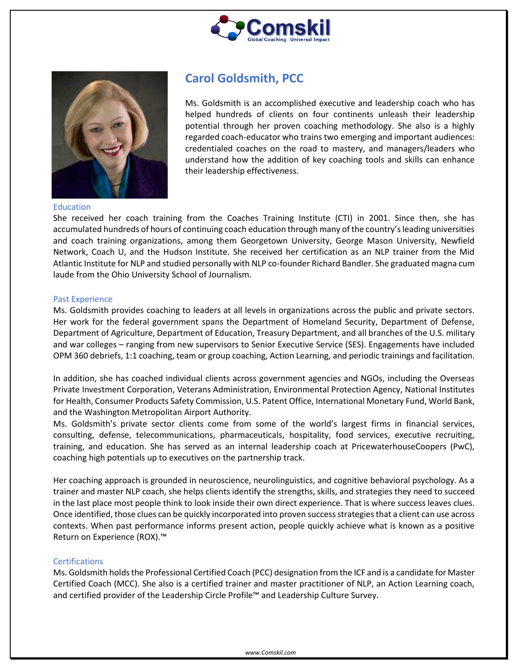



# **Carol Goldsmith, PCC**

Ms. Goldsmith is an accomplished executive and leadership coach who has helped hundreds of clients on four continents unleash their leadership potential through her proven coaching methodology. She also is a highly regarded coach-educator who trains two emerging and important audiences: credentialed coaches on the road to mastery, and managers/leaders who understand how the addition of key coaching tools and skills can enhance their leadership effectiveness.

#### Education

She received her coach training from the Coaches Training Institute (CTI) in 2001. Since then, she has accumulated hundreds of hours of continuing coach education through many of the country's leading universities and coach training organizations, among them Georgetown University, George Mason University, Newfield Network, Coach U, and the Hudson Institute. She received her certification as an NLP trainer from the Mid Atlantic Institute for NLP and studied personally with NLP co-founder Richard Bandler. She graduated magna cum laude from the Ohio University School of Journalism.

#### Past Experience

Ms. Goldsmith provides coaching to leaders at all levels in organizations across the public and private sectors. Her work for the federal government spans the Department of Homeland Security, Department of Defense, Department of Agriculture, Department of Education, Treasury Department, and all branches of the U.S. military and war colleges – ranging from new supervisors to Senior Executive Service (SES). Engagements have included OPM 360 debriefs, 1:1 coaching, team or group coaching, Action Learning, and periodic trainings and facilitation.

In addition, she has coached individual clients across government agencies and NGOs, including the Overseas Private Investment Corporation, Veterans Administration, Environmental Protection Agency, National Institutes for Health, Consumer Products Safety Commission, U.S. Patent Office, International Monetary Fund, World Bank, and the Washington Metropolitan Airport Authority.

Ms. Goldsmith's private sector clients come from some of the world's largest firms in financial services, consulting, defense, telecommunications, pharmaceuticals, hospitality, food services, executive recruiting, training, and education. She has served as an internal leadership coach at PricewaterhouseCoopers (PwC), coaching high potentials up to executives on the partnership track.

Her coaching approach is grounded in neuroscience, neurolinguistics, and cognitive behavioral psychology. As a trainer and master NLP coach, she helps clients identify the strengths, skills, and strategies they need to succeed in the last place most people think to look inside their own direct experience. That is where success leaves clues. Once identified, those clues can be quickly incorporated into proven success strategies that a client can use across contexts. When past performance informs present action, people quickly achieve what is known as a positive Return on Experience (ROX).™

### **Certifications**

Ms. Goldsmith holds the Professional Certified Coach (PCC) designation from the ICF and is a candidate for Master Certified Coach (MCC). She also is a certified trainer and master practitioner of NLP, an Action Learning coach, and certified provider of the Leadership Circle Profile™ and Leadership Culture Survey.